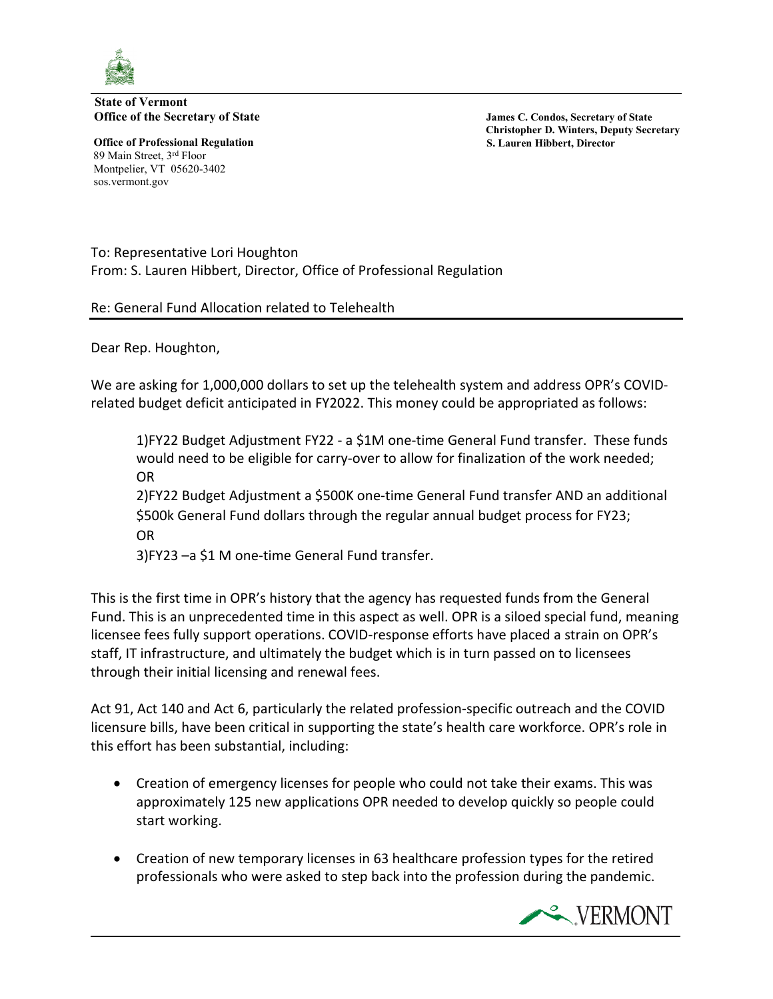

**State of Vermont Office of the Secretary of State Secretary of State James C. Condos, Secretary of State** 

**Office of Professional Regulation S. Lauren Hibbert, Director** 89 Main Street, 3rd Floor Montpelier, VT 05620-3402 sos.vermont.gov

 **Christopher D. Winters, Deputy Secretary**

To: Representative Lori Houghton From: S. Lauren Hibbert, Director, Office of Professional Regulation

Re: General Fund Allocation related to Telehealth

Dear Rep. Houghton,

We are asking for 1,000,000 dollars to set up the telehealth system and address OPR's COVIDrelated budget deficit anticipated in FY2022. This money could be appropriated as follows:

1)FY22 Budget Adjustment FY22 - a \$1M one-time General Fund transfer. These funds would need to be eligible for carry-over to allow for finalization of the work needed; OR

2)FY22 Budget Adjustment a \$500K one-time General Fund transfer AND an additional \$500k General Fund dollars through the regular annual budget process for FY23; OR

3)FY23 –a \$1 M one-time General Fund transfer.

This is the first time in OPR's history that the agency has requested funds from the General Fund. This is an unprecedented time in this aspect as well. OPR is a siloed special fund, meaning licensee fees fully support operations. COVID-response efforts have placed a strain on OPR's staff, IT infrastructure, and ultimately the budget which is in turn passed on to licensees through their initial licensing and renewal fees.

Act 91, Act 140 and Act 6, particularly the related profession-specific outreach and the COVID licensure bills, have been critical in supporting the state's health care workforce. OPR's role in this effort has been substantial, including:

- Creation of emergency licenses for people who could not take their exams. This was approximately 125 new applications OPR needed to develop quickly so people could start working.
- Creation of new temporary licenses in 63 healthcare profession types for the retired professionals who were asked to step back into the profession during the pandemic.